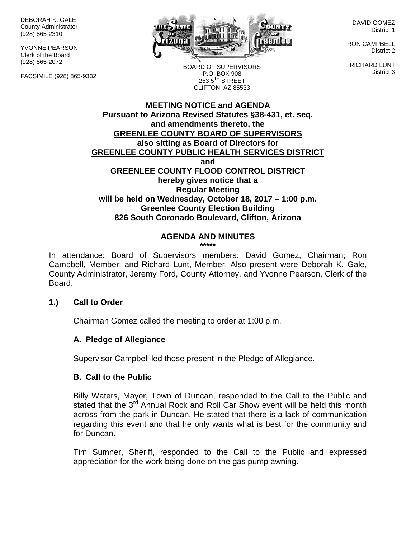DEBORAH K. GALE County Administrator (928) 865-2310

YVONNE PEARSON Clerk of the Board (928) 865-2072

FACSIMILE (928) 865-9332



DAVID GOMEZ District 1

RON CAMPBELL District 2

RICHARD LUNT District 3

BOARD OF SUPERVISORS P.O. BOX 908  $253.5$ <sup>TH</sup> STREET CLIFTON, AZ 85533

#### **MEETING NOTICE and AGENDA Pursuant to Arizona Revised Statutes §38-431, et. seq. and amendments thereto, the GREENLEE COUNTY BOARD OF SUPERVISORS also sitting as Board of Directors for GREENLEE COUNTY PUBLIC HEALTH SERVICES DISTRICT and GREENLEE COUNTY FLOOD CONTROL DISTRICT hereby gives notice that a Regular Meeting will be held on Wednesday, October 18, 2017 – 1:00 p.m. Greenlee County Election Building 826 South Coronado Boulevard, Clifton, Arizona**

#### **AGENDA AND MINUTES \*\*\*\*\***

In attendance: Board of Supervisors members: David Gomez, Chairman; Ron Campbell, Member; and Richard Lunt, Member. Also present were Deborah K. Gale, County Administrator, Jeremy Ford, County Attorney, and Yvonne Pearson, Clerk of the Board.

## **1.) Call to Order**

Chairman Gomez called the meeting to order at 1:00 p.m.

## **A. Pledge of Allegiance**

Supervisor Campbell led those present in the Pledge of Allegiance.

#### **B. Call to the Public**

Billy Waters, Mayor, Town of Duncan, responded to the Call to the Public and stated that the 3<sup>rd</sup> Annual Rock and Roll Car Show event will be held this month across from the park in Duncan. He stated that there is a lack of communication regarding this event and that he only wants what is best for the community and for Duncan.

Tim Sumner, Sheriff, responded to the Call to the Public and expressed appreciation for the work being done on the gas pump awning.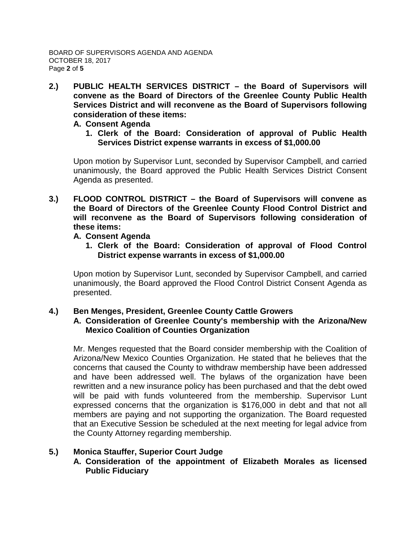**2.) PUBLIC HEALTH SERVICES DISTRICT – the Board of Supervisors will convene as the Board of Directors of the Greenlee County Public Health Services District and will reconvene as the Board of Supervisors following consideration of these items:**

#### **A. Consent Agenda**

**1. Clerk of the Board: Consideration of approval of Public Health Services District expense warrants in excess of \$1,000.00**

Upon motion by Supervisor Lunt, seconded by Supervisor Campbell, and carried unanimously, the Board approved the Public Health Services District Consent Agenda as presented.

**3.) FLOOD CONTROL DISTRICT – the Board of Supervisors will convene as the Board of Directors of the Greenlee County Flood Control District and will reconvene as the Board of Supervisors following consideration of these items:**

## **A. Consent Agenda**

**1. Clerk of the Board: Consideration of approval of Flood Control District expense warrants in excess of \$1,000.00**

Upon motion by Supervisor Lunt, seconded by Supervisor Campbell, and carried unanimously, the Board approved the Flood Control District Consent Agenda as presented.

#### **4.) Ben Menges, President, Greenlee County Cattle Growers A. Consideration of Greenlee County's membership with the Arizona/New Mexico Coalition of Counties Organization**

Mr. Menges requested that the Board consider membership with the Coalition of Arizona/New Mexico Counties Organization. He stated that he believes that the concerns that caused the County to withdraw membership have been addressed and have been addressed well. The bylaws of the organization have been rewritten and a new insurance policy has been purchased and that the debt owed will be paid with funds volunteered from the membership. Supervisor Lunt expressed concerns that the organization is \$176,000 in debt and that not all members are paying and not supporting the organization. The Board requested that an Executive Session be scheduled at the next meeting for legal advice from the County Attorney regarding membership.

# **5.) Monica Stauffer, Superior Court Judge**

**A. Consideration of the appointment of Elizabeth Morales as licensed Public Fiduciary**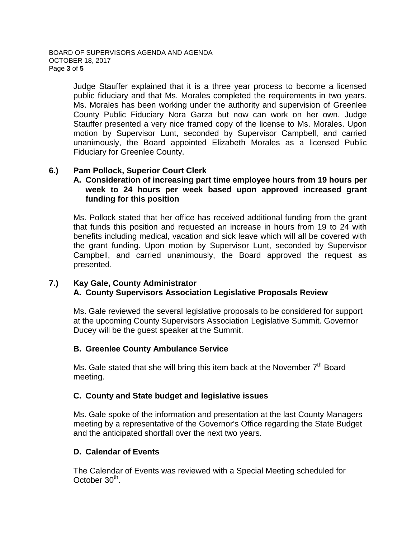Judge Stauffer explained that it is a three year process to become a licensed public fiduciary and that Ms. Morales completed the requirements in two years. Ms. Morales has been working under the authority and supervision of Greenlee County Public Fiduciary Nora Garza but now can work on her own. Judge Stauffer presented a very nice framed copy of the license to Ms. Morales. Upon motion by Supervisor Lunt, seconded by Supervisor Campbell, and carried unanimously, the Board appointed Elizabeth Morales as a licensed Public Fiduciary for Greenlee County.

## **6.) Pam Pollock, Superior Court Clerk**

## **A. Consideration of increasing part time employee hours from 19 hours per week to 24 hours per week based upon approved increased grant funding for this position**

Ms. Pollock stated that her office has received additional funding from the grant that funds this position and requested an increase in hours from 19 to 24 with benefits including medical, vacation and sick leave which will all be covered with the grant funding. Upon motion by Supervisor Lunt, seconded by Supervisor Campbell, and carried unanimously, the Board approved the request as presented.

## **7.) Kay Gale, County Administrator A. County Supervisors Association Legislative Proposals Review**

Ms. Gale reviewed the several legislative proposals to be considered for support at the upcoming County Supervisors Association Legislative Summit. Governor Ducey will be the guest speaker at the Summit.

## **B. Greenlee County Ambulance Service**

Ms. Gale stated that she will bring this item back at the November  $7<sup>th</sup>$  Board meeting.

## **C. County and State budget and legislative issues**

Ms. Gale spoke of the information and presentation at the last County Managers meeting by a representative of the Governor's Office regarding the State Budget and the anticipated shortfall over the next two years.

## **D. Calendar of Events**

The Calendar of Events was reviewed with a Special Meeting scheduled for October 30<sup>th</sup>.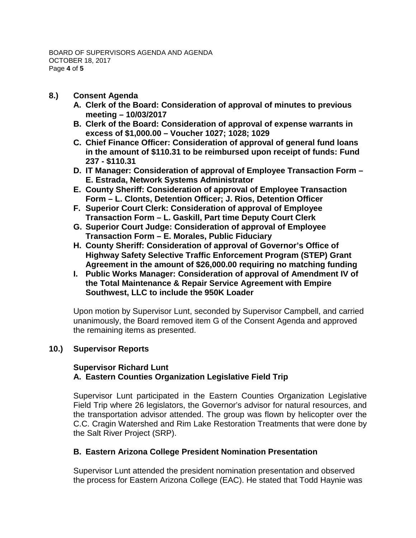- **8.) Consent Agenda**
	- **A. Clerk of the Board: Consideration of approval of minutes to previous meeting – 10/03/2017**
	- **B. Clerk of the Board: Consideration of approval of expense warrants in excess of \$1,000.00 – Voucher 1027; 1028; 1029**
	- **C. Chief Finance Officer: Consideration of approval of general fund loans in the amount of \$110.31 to be reimbursed upon receipt of funds: Fund 237 - \$110.31**
	- **D. IT Manager: Consideration of approval of Employee Transaction Form – E. Estrada, Network Systems Administrator**
	- **E. County Sheriff: Consideration of approval of Employee Transaction Form – L. Clonts, Detention Officer; J. Rios, Detention Officer**
	- **F. Superior Court Clerk: Consideration of approval of Employee Transaction Form – L. Gaskill, Part time Deputy Court Clerk**
	- **G. Superior Court Judge: Consideration of approval of Employee Transaction Form – E. Morales, Public Fiduciary**
	- **H. County Sheriff: Consideration of approval of Governor's Office of Highway Safety Selective Traffic Enforcement Program (STEP) Grant Agreement in the amount of \$26,000.00 requiring no matching funding**
	- **I. Public Works Manager: Consideration of approval of Amendment IV of the Total Maintenance & Repair Service Agreement with Empire Southwest, LLC to include the 950K Loader**

Upon motion by Supervisor Lunt, seconded by Supervisor Campbell, and carried unanimously, the Board removed item G of the Consent Agenda and approved the remaining items as presented.

# **10.) Supervisor Reports**

## **Supervisor Richard Lunt A. Eastern Counties Organization Legislative Field Trip**

Supervisor Lunt participated in the Eastern Counties Organization Legislative Field Trip where 26 legislators, the Governor's advisor for natural resources, and the transportation advisor attended. The group was flown by helicopter over the C.C. Cragin Watershed and Rim Lake Restoration Treatments that were done by the Salt River Project (SRP).

## **B. Eastern Arizona College President Nomination Presentation**

Supervisor Lunt attended the president nomination presentation and observed the process for Eastern Arizona College (EAC). He stated that Todd Haynie was